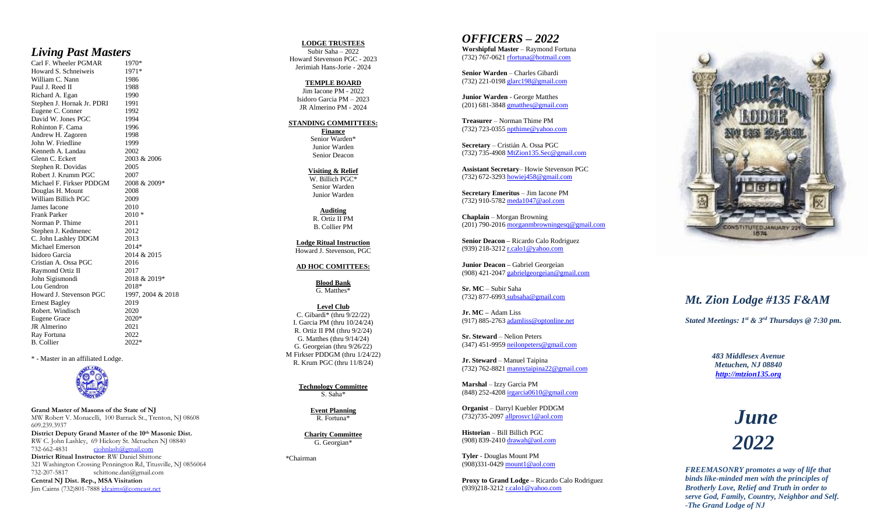#### *Living Past Masters*

Carl F. Wheeler PGMAR 1970\*<br>Howard S. Schneiweis 1971\* Howard S. Schneiweis 1971\*<br>William C. Nann 1986 William C. Nann Paul J. Reed II 1988 Richard A. Egan 1990 Stephen J. Hornak Jr. PDRI 1991 Eugene C. Conner 1992 David W. Jones PGC 1994 Rohinton F. Cama<br>
Andrew H. Zagoren 1998 Andrew H. Zagoren John W. Friedline 1999 Kenneth A. Landau 2002 Glenn C. Eckert 2003 & 2006 Stephen R. Dovidas 2005 Robert J. Krumm PGC 2007 Michael F. Firkser 2008 & 2009\* Douglas H. Mount 2008 William Billich PGC 2009 James Iacone 2010 Frank Parker 2010 \*<br>Norman P. Thime 2011 Norman P. Thime Stephen J. Kedmenec 2012 C. John Lashley DDGM 2013 Michael Emerson<br>
Isidoro Garcia 2014 & 2015 2014\* Isidoro Garcia Cristian A. Ossa 2016 Raymond Ortiz II 2017 John Sigismondi 2018 & 2019\* Lou Gendron 2018\* Howard J. Stevenson PGC 1997, 2004 & 2018 Ernest Bagley 2019<br>Robert. Windisch 2020 Robert. Windisch Eugene Grace 2020\* JR Almerino 2021 Ray Fortuna 2022<br>B. Collier 2022\* B. Collier

\* - Master in an affiliated Lodge.



**Grand Master of Masons of the State of NJ** MW Robert V. Monacelli , 100 Barrack St., Trenton, NJ 08608 609.239.3937

**District Deputy Grand Master of the 10th Masonic Dist.** RW C. John Lashley, 69 Hickory St. Metuchen NJ 08840 732 -662 [cjohnlash@gmail.com](mailto:cjohnlash@gmail.com) **District Ritual Instructor**: RW Daniel Shittone 321 Washington Crossing Pennington Rd, Titusville, NJ 0856064

732 -207 [schittone.dan@gmail.com](mailto:schittone.dan@gmail.com) **Central NJ Dist. Rep., MSA Visitation** Jim Cairns (732)801-7888 <u>jdcairns@comcast.net</u>

#### **LODGE TRUSTEES**

Subir Saha – 202 2 Howard Stevenson PGC - 2023 Jerimiah Hans -Jorie - 2024

> **TEMPLE BOARD** Jim Iacone PM - 2022 Isidoro Garcia PM – 2023 JR Almerino PM - 2024

#### **STANDING COMMITTEES:**

**Finance** Senior Warden\* Junior Warden Senior Deacon

**Visiting & Relief** W. Billich PGC \* Senior Warden Junior Warden

**Auditing** R. Ortiz II PM B. Collier PM

**Lodge Ritual Instruction** Howard J. Stevenson, PGC

#### **AD HOC COMITTEES:**

**Blood Bank** G. Matthes \*

**Level Club** C. Gibardi\* (thru 9/22/22) I. Garcia PM (thru 10/24/24) R. Ortiz II PM (thru 9/2/24) G. Matthes (thru 9/14/24) G. Georgeian (thru 9/26/22) M Firkser PDDGM (thru 1/24/22) R. Krum PGC (thru 11/8/24)

> **Technology Committee** S. Saha \*

> > **Event Planning** R. Fortuna \*

**Charity Committee** G. Georgian\*

\*Chairman

### *OFFICERS – 202 2*

**Worshipful Master** – Raymond Fortuna (732) 767-0621 [rfortuna@hotmail.com](mailto:rfortuna@hotmail.com)

**Senior Warden** – Charles Gibardi (732) 221-0198 [glarc198@gmail.com](mailto:glarc198@gmail.com)

**Junior Warden** - George Matthes (201) 681-3848 [gmatthes@gmail.com](mailto:gmatthes@gmail.com)

**Treasurer** – Norman Thime PM (732) 723-0355 [npthime@yahoo.com](mailto:npthime@yahoo.com)

**Secretary** – Cristi án A. Ossa PGC (732) 735-4908 [MtZion135.Sec@gmail.com](mailto:MtZion135.Sec@gmail.com)

**Assistant Secretary** – Howie Stevenson PGC (732) 672-3293 howiej458@gmail.com

**Secretary Emeritus** – Jim Iacone PM (732) 910-5782 [meda1047@aol.com](mailto:meda1047@aol.com)

**Chaplain** – Mo rgan Browning (201) 790-2016 morganmbrowningesq@gmail.com

**Senior Deacon –** Ricardo Calo Rodriguez (939) 218-3212 [r.calo1@yahoo.com](mailto:r.calo1@yahoo.com)

**Junior Deacon –** Gabriel Georgeian (908) 421-2047 [gabrielgeorgeian@gmail.com](mailto:gabrielgeorgeian@gmail.com)

**Sr. MC** – Subir Saha (732) 877-6993 subsaha@gmail.com

**Jr. MC –** Adam Liss (917) 885-2763 adamliss@optonline.net

**Sr. Steward** – Nelion Peters (347) 451-9959 neilonpeters@gmail.com

**Jr. Steward** – Manuel Taipina (732) 762 -8821 mannytaipina22@gmail.com

**Marshal** – Izzy Garcia PM (848) 252-4208 irgarcia0610@gmail.com

**Organist**  – Darryl Kuebler PDDGM (732) 735-2097 all prosvc1@aol.com

**Historian** – Bill Billich PGC (908) 839-2410 drawah@aol.com

**Tyler** - Douglas Mount PM (908)331-0429 [mount1@aol.com](mailto:mount1@aol.com)

**Proxy to Grand Lodge –** Ricardo Calo Rodriguez (939)218-3212 [r.calo1@yahoo.com](mailto:r.calo1@yahoo.com)



## *Mt. Zion Lodge #135 F&AM*

*Stated Meetings: 1st & 3rd Thursdays @ 7:30 pm.*

*483 Middlesex Avenue Metuchen, NJ 08840 [http://mtzion135.org](http://mtzion135.org/)*

> *June 202 2*

*FREEMASONRY promotes a way of life that binds like -minded men with the principles of Brotherly Love, Relief and Truth in order to serve God, Family, Country, Neighbor and Self. -The Grand Lodge of NJ*